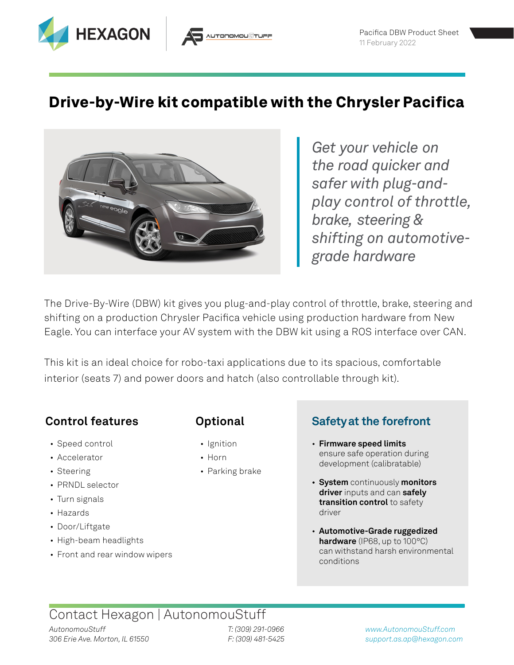

## **Drive-by-Wire kit compatible with the Chrysler Pacifica**



*Get your vehicle on the road quicker and safer with plug-andplay control of throttle, brake, steering & shifting on automotivegrade hardware*

The Drive-By-Wire (DBW) kit gives you plug-and-play control of throttle, brake, steering and shifting on a production Chrysler Pacifica vehicle using production hardware from New Eagle. You can interface your AV system with the DBW kit using a ROS interface over CAN.

This kit is an ideal choice for robo-taxi applications due to its spacious, comfortable interior (seats 7) and power doors and hatch (also controllable through kit).

### **Control features**

- Speed control
- Accelerator
- Steering
- PRNDL selector
- Turn signals
- Hazards
- Door/Liftgate
- High-beam headlights
- Front and rear window wipers

### **Optional**

- Ignition
- Horn
- Parking brake

### **Safetyat the forefront**

- **Firmware speed limits** ensure safe operation during development (calibratable)
- **System** continuously **monitors driver** inputs and can **safely transition control** to safety driver
- **Automotive-Grade ruggedized hardware** (IP68, up to 100°C) can withstand harsh environmental conditions

## Contact Hexagon | AutonomouStuff

*T: (309) 291-0966 F: (309) 481-5425*